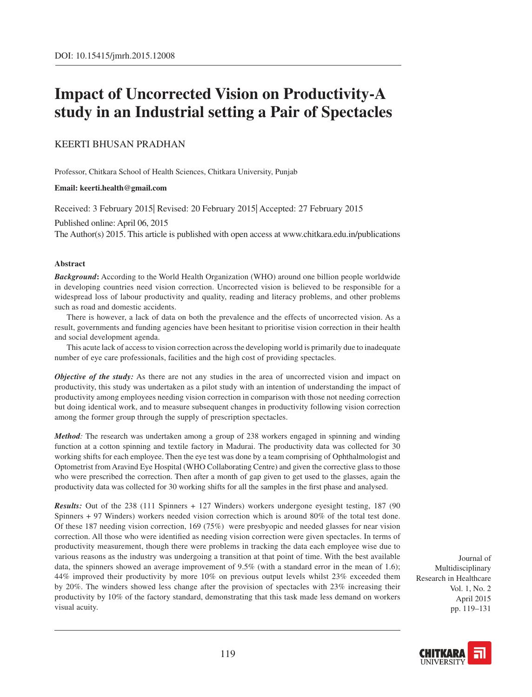# **Impact of Uncorrected Vision on Productivity-A study in an Industrial setting a Pair of Spectacles**

## Keerti Bhusan Pradhan

Professor, Chitkara School of Health Sciences, Chitkara University, Punjab

#### **Email: keerti.health@gmail.com**

Received: 3 February 2015| Revised: 20 February 2015| Accepted: 27 February 2015

Published online: April 06, 2015

The Author(s) 2015. This article is published with open access at www.chitkara.edu.in/publications

#### **Abstract**

*Background***:** According to the World Health Organization (WHO) around one billion people worldwide in developing countries need vision correction. Uncorrected vision is believed to be responsible for a widespread loss of labour productivity and quality, reading and literacy problems, and other problems such as road and domestic accidents.

There is however, a lack of data on both the prevalence and the effects of uncorrected vision. As a result, governments and funding agencies have been hesitant to prioritise vision correction in their health and social development agenda.

This acute lack of access to vision correction across the developing world is primarily due to inadequate number of eye care professionals, facilities and the high cost of providing spectacles.

*Objective of the study:* As there are not any studies in the area of uncorrected vision and impact on productivity, this study was undertaken as a pilot study with an intention of understanding the impact of productivity among employees needing vision correction in comparison with those not needing correction but doing identical work, and to measure subsequent changes in productivity following vision correction among the former group through the supply of prescription spectacles.

*Method:* The research was undertaken among a group of 238 workers engaged in spinning and winding function at a cotton spinning and textile factory in Madurai. The productivity data was collected for 30 working shifts for each employee. Then the eye test was done by a team comprising of Ophthalmologist and Optometrist from Aravind Eye Hospital (WHO Collaborating Centre) and given the corrective glass to those who were prescribed the correction. Then after a month of gap given to get used to the glasses, again the productivity data was collected for 30 working shifts for all the samples in the first phase and analysed.

*Results:* Out of the 238 (111 Spinners + 127 Winders) workers undergone eyesight testing, 187 (90 Spinners + 97 Winders) workers needed vision correction which is around 80% of the total test done. Of these 187 needing vision correction, 169 (75%) were presbyopic and needed glasses for near vision correction. All those who were identified as needing vision correction were given spectacles. In terms of productivity measurement, though there were problems in tracking the data each employee wise due to various reasons as the industry was undergoing a transition at that point of time. With the best available data, the spinners showed an average improvement of 9.5% (with a standard error in the mean of 1.6); 44% improved their productivity by more 10% on previous output levels whilst 23% exceeded them by 20%. The winders showed less change after the provision of spectacles with 23% increasing their productivity by 10% of the factory standard, demonstrating that this task made less demand on workers visual acuity.

Journal of Multidisciplinary Research in Healthcare Vol. 1, No. 2 April 2015 pp. 119–131

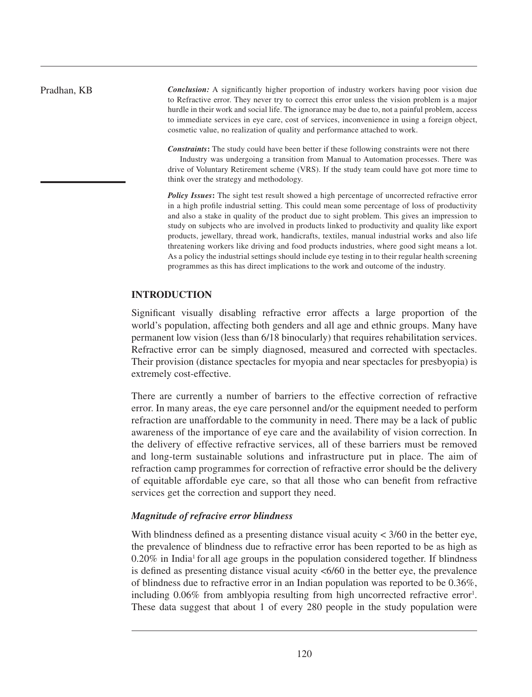*Conclusion:* A significantly higher proportion of industry workers having poor vision due to Refractive error. They never try to correct this error unless the vision problem is a major hurdle in their work and social life. The ignorance may be due to, not a painful problem, access to immediate services in eye care, cost of services, inconvenience in using a foreign object, cosmetic value, no realization of quality and performance attached to work.

*Constraints***:** The study could have been better if these following constraints were not there

Industry was undergoing a transition from Manual to Automation processes. There was drive of Voluntary Retirement scheme (VRS). If the study team could have got more time to think over the strategy and methodology.

**Policy Issues:** The sight test result showed a high percentage of uncorrected refractive error in a high profile industrial setting. This could mean some percentage of loss of productivity and also a stake in quality of the product due to sight problem. This gives an impression to study on subjects who are involved in products linked to productivity and quality like export products, jewellary, thread work, handicrafts, textiles, manual industrial works and also life threatening workers like driving and food products industries, where good sight means a lot. As a policy the industrial settings should include eye testing in to their regular health screening programmes as this has direct implications to the work and outcome of the industry.

## **Introduction**

Significant visually disabling refractive error affects a large proportion of the world's population, affecting both genders and all age and ethnic groups. Many have permanent low vision (less than 6/18 binocularly) that requires rehabilitation services. Refractive error can be simply diagnosed, measured and corrected with spectacles. Their provision (distance spectacles for myopia and near spectacles for presbyopia) is extremely cost-effective.

There are currently a number of barriers to the effective correction of refractive error. In many areas, the eye care personnel and/or the equipment needed to perform refraction are unaffordable to the community in need. There may be a lack of public awareness of the importance of eye care and the availability of vision correction. In the delivery of effective refractive services, all of these barriers must be removed and long-term sustainable solutions and infrastructure put in place. The aim of refraction camp programmes for correction of refractive error should be the delivery of equitable affordable eye care, so that all those who can benefit from refractive services get the correction and support they need.

## *Magnitude of refracive error blindness*

With blindness defined as a presenting distance visual acuity  $\lt$  3/60 in the better eye, the prevalence of blindness due to refractive error has been reported to be as high as  $0.20\%$  in India<sup>1</sup> for all age groups in the population considered together. If blindness is defined as presenting distance visual acuity <6/60 in the better eye, the prevalence of blindness due to refractive error in an Indian population was reported to be 0.36%, including 0.06% from amblyopia resulting from high uncorrected refractive error<sup>1</sup>. These data suggest that about 1 of every 280 people in the study population were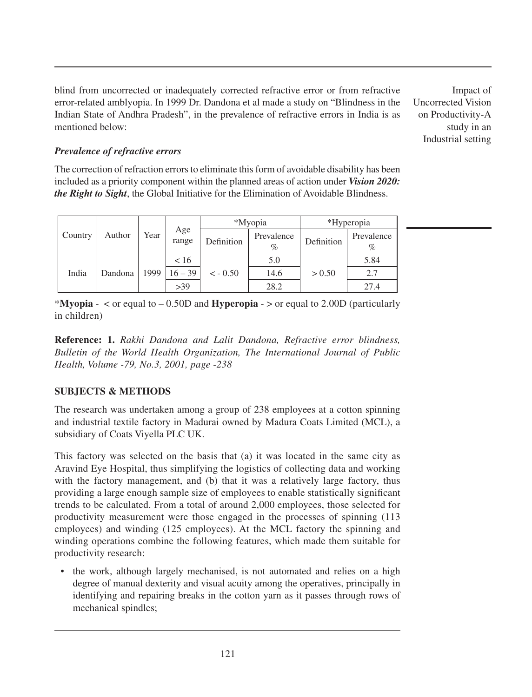blind from uncorrected or inadequately corrected refractive error or from refractive error-related amblyopia. In 1999 Dr. Dandona et al made a study on "Blindness in the Indian State of Andhra Pradesh", in the prevalence of refractive errors in India is as mentioned below:

Impact of Uncorrected Vision on Productivity-A study in an Industrial setting

## *Prevalence of refractive errors*

The correction of refraction errors to eliminate this form of avoidable disability has been included as a priority component within the planned areas of action under *Vision 2020: the Right to Sight*, the Global Initiative for the Elimination of Avoidable Blindness.

| Country | Author  | Year | Age<br>range | *Myopia    |                 | *Hyperopia |                    |
|---------|---------|------|--------------|------------|-----------------|------------|--------------------|
|         |         |      |              | Definition | Prevalence<br>% | Definition | Prevalence<br>$\%$ |
| India   | Dandona | 1999 | < 16         | $<-0.50$   | 5.0             | > 0.50     | 5.84               |
|         |         |      | $16 - 39$    |            | 14.6            |            | 2.7                |
|         |         |      | >39          |            | 28.2            |            | 27.4               |

\***Myopia** - < or equal to – 0.50D and **Hyperopia** - > or equal to 2.00D (particularly in children)

**Reference: 1.** *Rakhi Dandona and Lalit Dandona, Refractive error blindness, Bulletin of the World Health Organization, The International Journal of Public Health, Volume -79, No.3, 2001, page -238*

## **SUBJECTS & METHODS**

The research was undertaken among a group of 238 employees at a cotton spinning and industrial textile factory in Madurai owned by Madura Coats Limited (MCL), a subsidiary of Coats Viyella PLC UK.

This factory was selected on the basis that (a) it was located in the same city as Aravind Eye Hospital, thus simplifying the logistics of collecting data and working with the factory management, and (b) that it was a relatively large factory, thus providing a large enough sample size of employees to enable statistically significant trends to be calculated. From a total of around 2,000 employees, those selected for productivity measurement were those engaged in the processes of spinning (113 employees) and winding (125 employees). At the MCL factory the spinning and winding operations combine the following features, which made them suitable for productivity research:

• the work, although largely mechanised, is not automated and relies on a high degree of manual dexterity and visual acuity among the operatives, principally in identifying and repairing breaks in the cotton yarn as it passes through rows of mechanical spindles;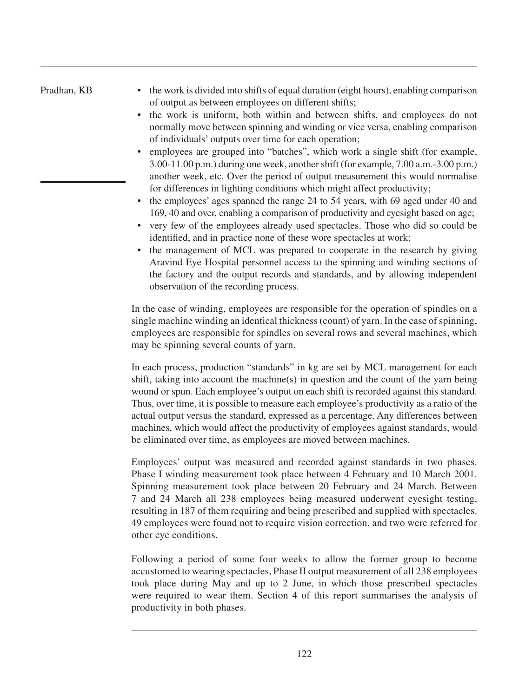- the work is divided into shifts of equal duration (eight hours), enabling comparison of output as between employees on different shifts;
- the work is uniform, both within and between shifts, and employees do not normally move between spinning and winding or vice versa, enabling comparison of individuals' outputs over time for each operation;
- employees are grouped into "batches", which work a single shift (for example, 3.00-11.00 p.m.) during one week, another shift (for example, 7.00 a.m.-3.00 p.m.) another week, etc. Over the period of output measurement this would normalise for differences in lighting conditions which might affect productivity;
- the employees' ages spanned the range 24 to 54 years, with 69 aged under 40 and 169, 40 and over, enabling a comparison of productivity and eyesight based on age;
- very few of the employees already used spectacles. Those who did so could be identified, and in practice none of these wore spectacles at work;
- the management of MCL was prepared to cooperate in the research by giving Aravind Eye Hospital personnel access to the spinning and winding sections of the factory and the output records and standards, and by allowing independent observation of the recording process.

In the case of winding, employees are responsible for the operation of spindles on a single machine winding an identical thickness (count) of yarn. In the case of spinning, employees are responsible for spindles on several rows and several machines, which may be spinning several counts of yarn.

In each process, production "standards" in kg are set by MCL management for each shift, taking into account the machine(s) in question and the count of the yarn being wound or spun. Each employee's output on each shift is recorded against this standard. Thus, over time, it is possible to measure each employee's productivity as a ratio of the actual output versus the standard, expressed as a percentage. Any differences between machines, which would affect the productivity of employees against standards, would be eliminated over time, as employees are moved between machines.

Employees' output was measured and recorded against standards in two phases. Phase I winding measurement took place between 4 February and 10 March 2001. Spinning measurement took place between 20 February and 24 March. Between 7 and 24 March all 238 employees being measured underwent eyesight testing, resulting in 187 of them requiring and being prescribed and supplied with spectacles. 49 employees were found not to require vision correction, and two were referred for other eye conditions.

Following a period of some four weeks to allow the former group to become accustomed to wearing spectacles, Phase II output measurement of all 238 employees took place during May and up to 2 June, in which those prescribed spectacles were required to wear them. Section 4 of this report summarises the analysis of productivity in both phases.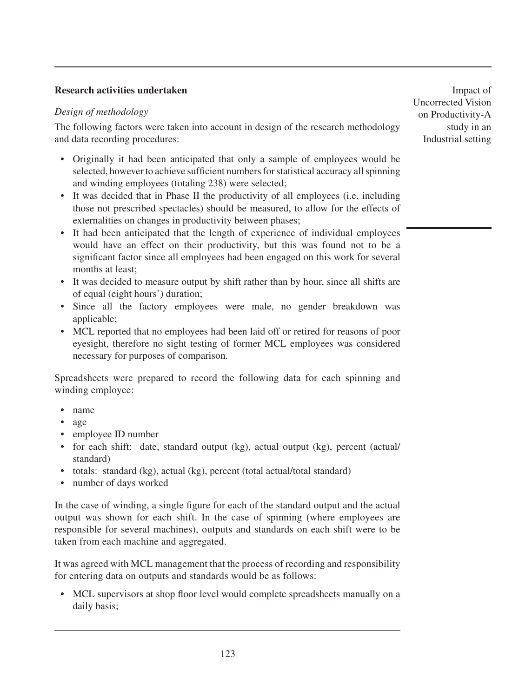## **Research activities undertaken**

## *Design of methodology*

The following factors were taken into account in design of the research methodology and data recording procedures:

- • Originally it had been anticipated that only a sample of employees would be selected, however to achieve sufficient numbers for statistical accuracy all spinning and winding employees (totaling 238) were selected;
- It was decided that in Phase II the productivity of all employees (i.e. including those not prescribed spectacles) should be measured, to allow for the effects of externalities on changes in productivity between phases;
- It had been anticipated that the length of experience of individual employees would have an effect on their productivity, but this was found not to be a significant factor since all employees had been engaged on this work for several months at least;
- It was decided to measure output by shift rather than by hour, since all shifts are of equal (eight hours') duration;
- Since all the factory employees were male, no gender breakdown was applicable;
- MCL reported that no employees had been laid off or retired for reasons of poor eyesight, therefore no sight testing of former MCL employees was considered necessary for purposes of comparison.

Spreadsheets were prepared to record the following data for each spinning and winding employee:

- • name
- • age
- employee ID number
- for each shift: date, standard output (kg), actual output (kg), percent (actual/ standard)
- totals: standard (kg), actual (kg), percent (total actual/total standard)
- number of days worked

In the case of winding, a single figure for each of the standard output and the actual output was shown for each shift. In the case of spinning (where employees are responsible for several machines), outputs and standards on each shift were to be taken from each machine and aggregated.

It was agreed with MCL management that the process of recording and responsibility for entering data on outputs and standards would be as follows:

• MCL supervisors at shop floor level would complete spreadsheets manually on a daily basis;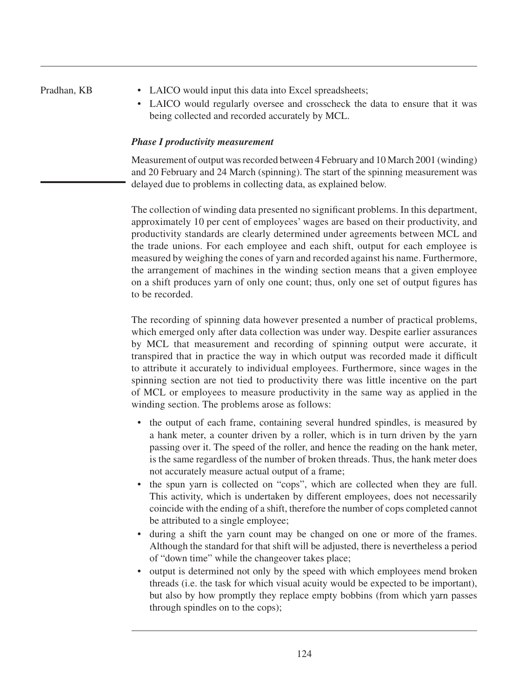- LAICO would input this data into Excel spreadsheets;
- LAICO would regularly oversee and crosscheck the data to ensure that it was being collected and recorded accurately by MCL.

## *Phase I productivity measurement*

Measurement of output was recorded between 4 February and 10 March 2001 (winding) and 20 February and 24 March (spinning). The start of the spinning measurement was delayed due to problems in collecting data, as explained below.

The collection of winding data presented no significant problems. In this department, approximately 10 per cent of employees' wages are based on their productivity, and productivity standards are clearly determined under agreements between MCL and the trade unions. For each employee and each shift, output for each employee is measured by weighing the cones of yarn and recorded against his name. Furthermore, the arrangement of machines in the winding section means that a given employee on a shift produces yarn of only one count; thus, only one set of output figures has to be recorded.

The recording of spinning data however presented a number of practical problems, which emerged only after data collection was under way. Despite earlier assurances by MCL that measurement and recording of spinning output were accurate, it transpired that in practice the way in which output was recorded made it difficult to attribute it accurately to individual employees. Furthermore, since wages in the spinning section are not tied to productivity there was little incentive on the part of MCL or employees to measure productivity in the same way as applied in the winding section. The problems arose as follows:

- the output of each frame, containing several hundred spindles, is measured by a hank meter, a counter driven by a roller, which is in turn driven by the yarn passing over it. The speed of the roller, and hence the reading on the hank meter, is the same regardless of the number of broken threads. Thus, the hank meter does not accurately measure actual output of a frame;
- the spun yarn is collected on "cops", which are collected when they are full. This activity, which is undertaken by different employees, does not necessarily coincide with the ending of a shift, therefore the number of cops completed cannot be attributed to a single employee;
- • during a shift the yarn count may be changed on one or more of the frames. Although the standard for that shift will be adjusted, there is nevertheless a period of "down time" while the changeover takes place;
- output is determined not only by the speed with which employees mend broken threads (i.e. the task for which visual acuity would be expected to be important), but also by how promptly they replace empty bobbins (from which yarn passes through spindles on to the cops);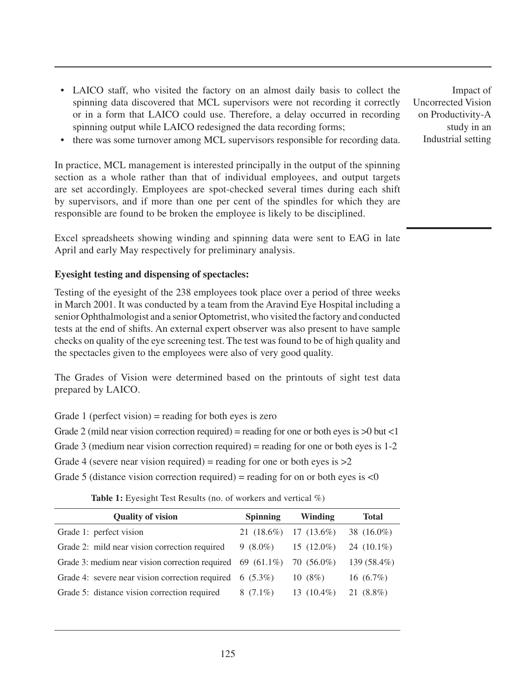- LAICO staff, who visited the factory on an almost daily basis to collect the spinning data discovered that MCL supervisors were not recording it correctly or in a form that LAICO could use. Therefore, a delay occurred in recording spinning output while LAICO redesigned the data recording forms;
- there was some turnover among MCL supervisors responsible for recording data.

In practice, MCL management is interested principally in the output of the spinning section as a whole rather than that of individual employees, and output targets are set accordingly. Employees are spot-checked several times during each shift by supervisors, and if more than one per cent of the spindles for which they are responsible are found to be broken the employee is likely to be disciplined.

Excel spreadsheets showing winding and spinning data were sent to EAG in late April and early May respectively for preliminary analysis.

## **Eyesight testing and dispensing of spectacles:**

Testing of the eyesight of the 238 employees took place over a period of three weeks in March 2001. It was conducted by a team from the Aravind Eye Hospital including a senior Ophthalmologist and a senior Optometrist, who visited the factory and conducted tests at the end of shifts. An external expert observer was also present to have sample checks on quality of the eye screening test. The test was found to be of high quality and the spectacles given to the employees were also of very good quality.

The Grades of Vision were determined based on the printouts of sight test data prepared by LAICO.

Grade 1 (perfect vision) = reading for both eyes is zero

Grade 2 (mild near vision correction required) = reading for one or both eyes is  $>0$  but <1

Grade 3 (medium near vision correction required) = reading for one or both eyes is 1-2

Grade 4 (severe near vision required) = reading for one or both eyes is  $>2$ 

Grade 5 (distance vision correction required) = reading for on or both eyes is  $\langle 0 \rangle$ 

**Table 1:** Eyesight Test Results (no. of workers and vertical %)

| <b>Quality of vision</b>                                                          | <b>Spinning</b> | Winding                 | <b>Total</b>  |
|-----------------------------------------------------------------------------------|-----------------|-------------------------|---------------|
| Grade 1: perfect vision                                                           |                 | $21(18.6\%)$ 17 (13.6%) | 38 (16.0%)    |
| Grade 2: mild near vision correction required                                     | 9 $(8.0\%)$     | $15(12.0\%)$            | 24 $(10.1\%)$ |
| Grade 3: medium near vision correction required $\,69 \,(61.1\%) \,70 \,(56.0\%)$ |                 |                         | 139 (58.4%)   |
| Grade 4: severe near vision correction required $\quad 6 \quad (5.3\%)$           |                 | 10(8%)                  | 16 $(6.7\%)$  |
| Grade 5: distance vision correction required                                      | $8(7.1\%)$      | 13 $(10.4\%)$           | 21 (8.8%)     |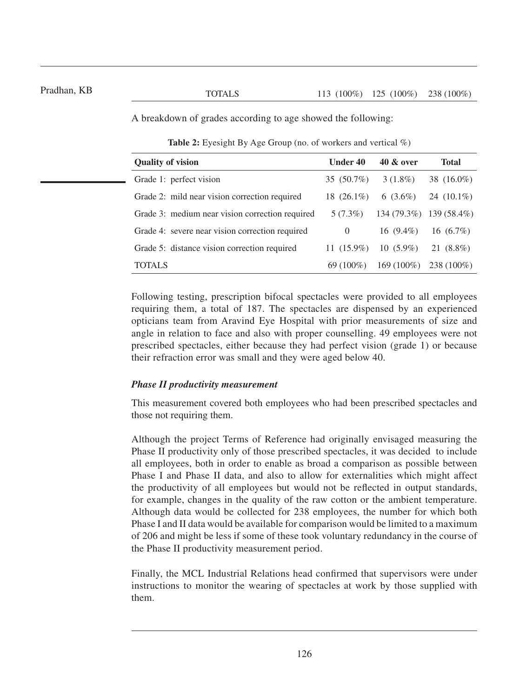A breakdown of grades according to age showed the following:

**Table 2:** Eyesight By Age Group (no. of workers and vertical %)

| <b>Quality of vision</b>                        | Under 40      | <b>40 &amp; over</b> | Total                   |
|-------------------------------------------------|---------------|----------------------|-------------------------|
| Grade 1: perfect vision                         | 35 (50.7%)    | $3(1.8\%)$           | 38 (16.0%)              |
| Grade 2: mild near vision correction required   | 18 $(26.1\%)$ | $6(3.6\%)$           | 24 $(10.1\%)$           |
| Grade 3: medium near vision correction required | $5(7.3\%)$    |                      | 134 (79.3%) 139 (58.4%) |
| Grade 4: severe near vision correction required | $\theta$      | 16 $(9.4\%)$         | 16 $(6.7\%)$            |
| Grade 5: distance vision correction required    | 11 $(15.9\%)$ | $10(5.9\%)$          | 21 (8.8%)               |
| TOTAL S                                         | $69(100\%)$   | $169(100\%)$         | $238(100\%)$            |

Following testing, prescription bifocal spectacles were provided to all employees requiring them, a total of 187. The spectacles are dispensed by an experienced opticians team from Aravind Eye Hospital with prior measurements of size and angle in relation to face and also with proper counselling. 49 employees were not prescribed spectacles, either because they had perfect vision (grade 1) or because their refraction error was small and they were aged below 40.

## *Phase II productivity measurement*

This measurement covered both employees who had been prescribed spectacles and those not requiring them.

Although the project Terms of Reference had originally envisaged measuring the Phase II productivity only of those prescribed spectacles, it was decided to include all employees, both in order to enable as broad a comparison as possible between Phase I and Phase II data, and also to allow for externalities which might affect the productivity of all employees but would not be reflected in output standards, for example, changes in the quality of the raw cotton or the ambient temperature. Although data would be collected for 238 employees, the number for which both Phase I and II data would be available for comparison would be limited to a maximum of 206 and might be less if some of these took voluntary redundancy in the course of the Phase II productivity measurement period.

Finally, the MCL Industrial Relations head confirmed that supervisors were under instructions to monitor the wearing of spectacles at work by those supplied with them.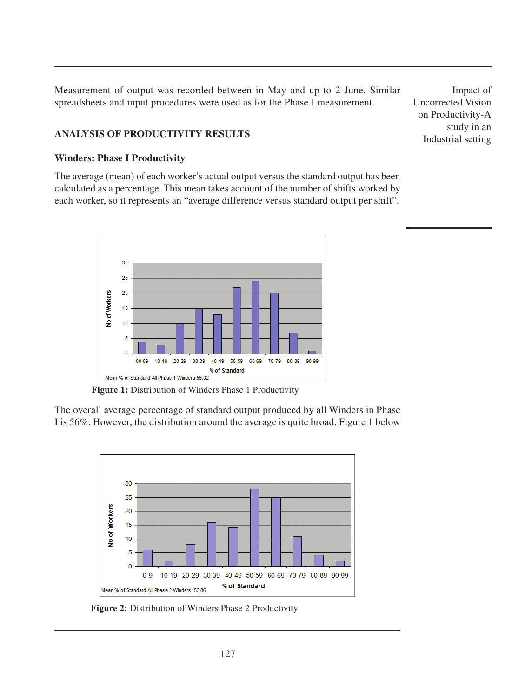Measurement of output was recorded between in May and up to 2 June. Similar spreadsheets and input procedures were used as for the Phase I measurement.

## **ANALYSIS OF PRODUCTIVITY RESULTS**

## **Winders: Phase I Productivity**

The average (mean) of each worker's actual output versus the standard output has been calculated as a percentage. This mean takes account of the number of shifts worked by each worker, so it represents an "average difference versus standard output per shift".



Figure 1: Distribution of Winders Phase 1 Productivity

The overall average percentage of standard output produced by all Winders in Phase I is 56%. However, the distribution around the average is quite broad. Figure 1 below



**Figure 2:** Distribution of Winders Phase 2 Productivity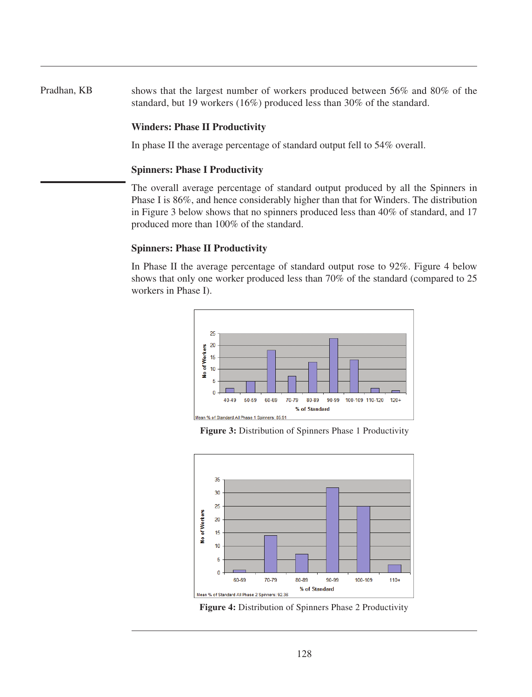Pradhan, KB shows that the largest number of workers produced between 56% and 80% of the standard, but 19 workers (16%) produced less than 30% of the standard.

## **Winders: Phase II Productivity**

In phase II the average percentage of standard output fell to 54% overall.

## **Spinners: Phase I Productivity**

The overall average percentage of standard output produced by all the Spinners in Phase I is 86%, and hence considerably higher than that for Winders. The distribution in Figure 3 below shows that no spinners produced less than 40% of standard, and 17 produced more than 100% of the standard.

## **Spinners: Phase II Productivity**

In Phase II the average percentage of standard output rose to 92%. Figure 4 below shows that only one worker produced less than 70% of the standard (compared to 25 workers in Phase I).



**Figure 3:** Distribution of Spinners Phase 1 Productivity



**Figure 4:** Distribution of Spinners Phase 2 Productivity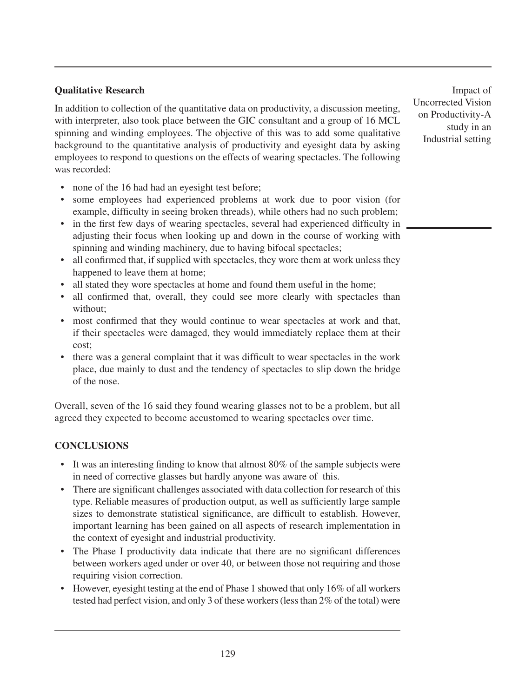## **Qualitative Research**

In addition to collection of the quantitative data on productivity, a discussion meeting, with interpreter, also took place between the GIC consultant and a group of 16 MCL spinning and winding employees. The objective of this was to add some qualitative background to the quantitative analysis of productivity and eyesight data by asking employees to respond to questions on the effects of wearing spectacles. The following was recorded:

- none of the 16 had had an eyesight test before;
- some employees had experienced problems at work due to poor vision (for example, difficulty in seeing broken threads), while others had no such problem;
- in the first few days of wearing spectacles, several had experienced difficulty in adjusting their focus when looking up and down in the course of working with spinning and winding machinery, due to having bifocal spectacles;
- all confirmed that, if supplied with spectacles, they wore them at work unless they happened to leave them at home;
- all stated they wore spectacles at home and found them useful in the home;
- all confirmed that, overall, they could see more clearly with spectacles than without;
- most confirmed that they would continue to wear spectacles at work and that, if their spectacles were damaged, they would immediately replace them at their cost;
- there was a general complaint that it was difficult to wear spectacles in the work place, due mainly to dust and the tendency of spectacles to slip down the bridge of the nose.

Overall, seven of the 16 said they found wearing glasses not to be a problem, but all agreed they expected to become accustomed to wearing spectacles over time.

# **CONCLUSIONS**

- It was an interesting finding to know that almost 80% of the sample subjects were in need of corrective glasses but hardly anyone was aware of this.
- There are significant challenges associated with data collection for research of this type. Reliable measures of production output, as well as sufficiently large sample sizes to demonstrate statistical significance, are difficult to establish. However, important learning has been gained on all aspects of research implementation in the context of eyesight and industrial productivity.
- The Phase I productivity data indicate that there are no significant differences between workers aged under or over 40, or between those not requiring and those requiring vision correction.
- However, eyesight testing at the end of Phase 1 showed that only 16% of all workers tested had perfect vision, and only 3 of these workers (less than 2% of the total) were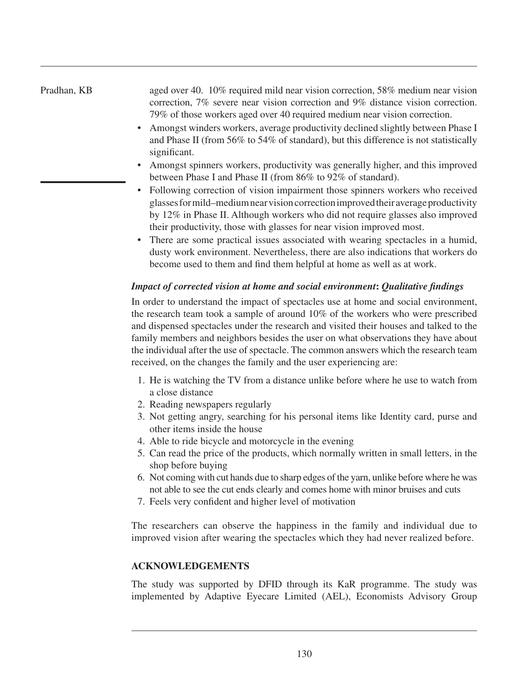#### Pradhan, KB aged over 40. 10% required mild near vision correction, 58% medium near vision correction, 7% severe near vision correction and 9% distance vision correction. 79% of those workers aged over 40 required medium near vision correction.

- Amongst winders workers, average productivity declined slightly between Phase I and Phase II (from 56% to 54% of standard), but this difference is not statistically significant.
- Amongst spinners workers, productivity was generally higher, and this improved between Phase I and Phase II (from 86% to 92% of standard).
- Following correction of vision impairment those spinners workers who received glasses for mild–medium near vision correction improved their average productivity by 12% in Phase II. Although workers who did not require glasses also improved their productivity, those with glasses for near vision improved most.
- There are some practical issues associated with wearing spectacles in a humid, dusty work environment. Nevertheless, there are also indications that workers do become used to them and find them helpful at home as well as at work.

# *Impact of corrected vision at home and social environment***:** *Qualitative findings*

In order to understand the impact of spectacles use at home and social environment, the research team took a sample of around 10% of the workers who were prescribed and dispensed spectacles under the research and visited their houses and talked to the family members and neighbors besides the user on what observations they have about the individual after the use of spectacle. The common answers which the research team received, on the changes the family and the user experiencing are:

- 1. He is watching the TV from a distance unlike before where he use to watch from a close distance
- 2. Reading newspapers regularly
- 3. Not getting angry, searching for his personal items like Identity card, purse and other items inside the house
- 4. Able to ride bicycle and motorcycle in the evening
- 5. Can read the price of the products, which normally written in small letters, in the shop before buying
- 6. Not coming with cut hands due to sharp edges of the yarn, unlike before where he was not able to see the cut ends clearly and comes home with minor bruises and cuts
- 7. Feels very confident and higher level of motivation

The researchers can observe the happiness in the family and individual due to improved vision after wearing the spectacles which they had never realized before.

# **Acknowledgements**

The study was supported by DFID through its KaR programme. The study was implemented by Adaptive Eyecare Limited (AEL), Economists Advisory Group